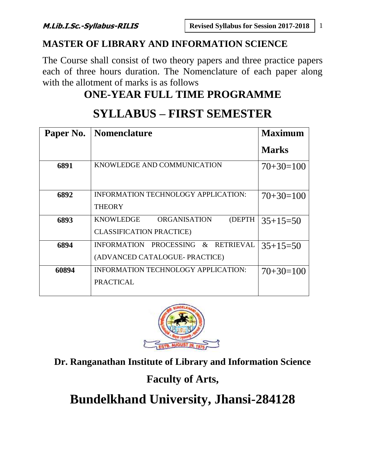## **MASTER OF LIBRARY AND INFORMATION SCIENCE**

The Course shall consist of two theory papers and three practice papers each of three hours duration. The Nomenclature of each paper along with the allotment of marks is as follows

## **ONE-YEAR FULL TIME PROGRAMME**

# **SYLLABUS – FIRST SEMESTER**

| Paper No. | <b>Nomenclature</b>                                | <b>Maximum</b> |
|-----------|----------------------------------------------------|----------------|
|           |                                                    | <b>Marks</b>   |
| 6891      | KNOWLEDGE AND COMMUNICATION                        | $70+30=100$    |
|           |                                                    |                |
| 6892      | <b>INFORMATION TECHNOLOGY APPLICATION:</b>         | $70+30=100$    |
|           | <b>THEORY</b>                                      |                |
| 6893      | <b>ORGANISATION</b><br><b>KNOWLEDGE</b><br>(DEPTH) | $35+15=50$     |
|           | <b>CLASSIFICATION PRACTICE)</b>                    |                |
| 6894      | INFORMATION PROCESSING &<br><b>RETRIEVAL</b>       | $35+15=50$     |
|           | (ADVANCED CATALOGUE- PRACTICE)                     |                |
| 60894     | INFORMATION TECHNOLOGY APPLICATION:                | $70+30=100$    |
|           | <b>PRACTICAL</b>                                   |                |
|           |                                                    |                |



**Dr. Ranganathan Institute of Library and Information Science**

## **Faculty of Arts,**

**Bundelkhand University, Jhansi-284128**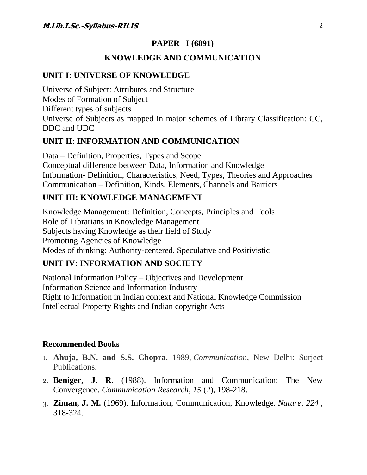### **PAPER –I (6891)**

### **KNOWLEDGE AND COMMUNICATION**

### **UNIT I: UNIVERSE OF KNOWLEDGE**

Universe of Subject: Attributes and Structure Modes of Formation of Subject Different types of subjects Universe of Subjects as mapped in major schemes of Library Classification: CC, DDC and UDC

### **UNIT II: INFORMATION AND COMMUNICATION**

Data – Definition, Properties, Types and Scope Conceptual difference between Data, Information and Knowledge Information- Definition, Characteristics, Need, Types, Theories and Approaches Communication – Definition, Kinds, Elements, Channels and Barriers

### **UNIT III: KNOWLEDGE MANAGEMENT**

Knowledge Management: Definition, Concepts, Principles and Tools Role of Librarians in Knowledge Management Subjects having Knowledge as their field of Study Promoting Agencies of Knowledge Modes of thinking: Authority-centered, Speculative and Positivistic

### **UNIT IV: INFORMATION AND SOCIETY**

National Information Policy – Objectives and Development Information Science and Information Industry Right to Information in Indian context and National Knowledge Commission Intellectual Property Rights and Indian copyright Acts

### **Recommended Books**

- 1. **Ahuja, B.N. and S.S. Chopra**, 1989, *Communication*, New Delhi: Surjeet Publications.
- 2. **Beniger, J. R.** (1988). Information and Communication: The New Convergence. *Communication Research, 15* (2), 198-218.
- 3. **Ziman, J. M.** (1969). Information, Communication, Knowledge. *Nature, 224* , 318-324.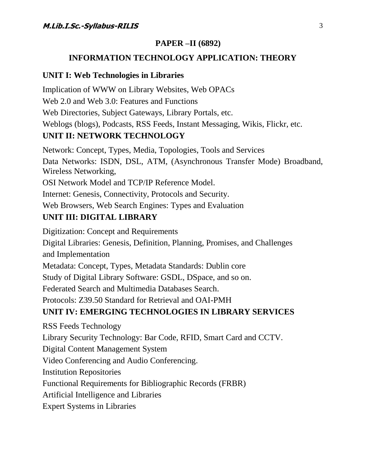### **PAPER –II (6892)**

### **INFORMATION TECHNOLOGY APPLICATION: THEORY**

#### **UNIT I: Web Technologies in Libraries**

Implication of WWW on Library Websites, Web OPACs Web 2.0 and Web 3.0: Features and Functions Web Directories, Subject Gateways, Library Portals, etc. Weblogs (blogs), Podcasts, RSS Feeds, Instant Messaging, Wikis, Flickr, etc. **UNIT II: NETWORK TECHNOLOGY**

Network: Concept, Types, Media, Topologies, Tools and Services Data Networks: ISDN, DSL, ATM, (Asynchronous Transfer Mode) Broadband, Wireless Networking, OSI Network Model and TCP/IP Reference Model. Internet: Genesis, Connectivity, Protocols and Security.

Web Browsers, Web Search Engines: Types and Evaluation

### **UNIT III: DIGITAL LIBRARY**

Digitization: Concept and Requirements Digital Libraries: Genesis, Definition, Planning, Promises, and Challenges and Implementation Metadata: Concept, Types, Metadata Standards: Dublin core Study of Digital Library Software: GSDL, DSpace, and so on. Federated Search and Multimedia Databases Search. Protocols: Z39.50 Standard for Retrieval and OAI-PMH

### **UNIT IV: EMERGING TECHNOLOGIES IN LIBRARY SERVICES**

RSS Feeds Technology Library Security Technology: Bar Code, RFID, Smart Card and CCTV. Digital Content Management System Video Conferencing and Audio Conferencing. Institution Repositories Functional Requirements for Bibliographic Records (FRBR) Artificial Intelligence and Libraries

Expert Systems in Libraries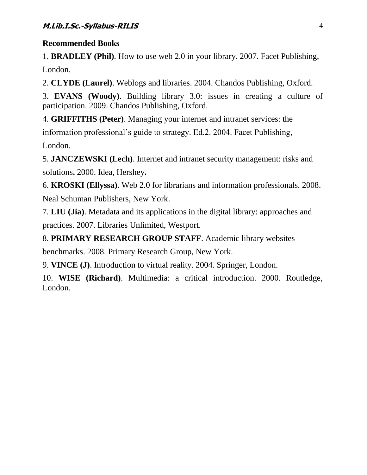1. **BRADLEY (Phil)**. How to use web 2.0 in your library. 2007. Facet Publishing, London.

2. **CLYDE (Laurel)**. Weblogs and libraries. 2004. Chandos Publishing, Oxford.

3. **EVANS (Woody)**. Building library 3.0: issues in creating a culture of participation. 2009. Chandos Publishing, Oxford.

4. **GRIFFITHS (Peter)**. Managing your internet and intranet services: the information professional's guide to strategy. Ed.2. 2004. Facet Publishing, London.

5. **JANCZEWSKI (Lech)**. Internet and intranet security management: risks and solutions**.** 2000. Idea, Hershey**.**

6. **KROSKI (Ellyssa)**. Web 2.0 for librarians and information professionals. 2008. Neal Schuman Publishers, New York.

7. **LIU (Jia)**. Metadata and its applications in the digital library: approaches and practices. 2007. Libraries Unlimited, Westport.

8. **PRIMARY RESEARCH GROUP STAFF**. Academic library websites

benchmarks. 2008. Primary Research Group, New York.

9. **VINCE (J)**. Introduction to virtual reality. 2004. Springer, London.

10. **WISE (Richard)**. Multimedia: a critical introduction. 2000. Routledge, London.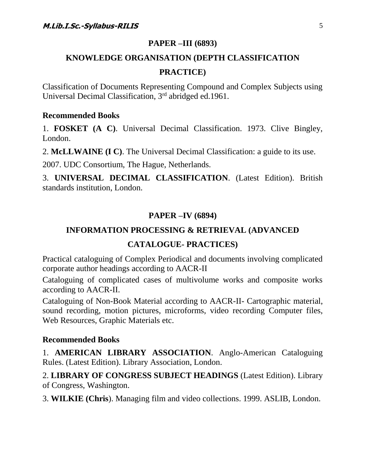### **PAPER –III (6893)**

## **KNOWLEDGE ORGANISATION (DEPTH CLASSIFICATION PRACTICE)**

Classification of Documents Representing Compound and Complex Subjects using Universal Decimal Classification, 3rd abridged ed.1961.

#### **Recommended Books**

1. **FOSKET (A C)**. Universal Decimal Classification. 1973. Clive Bingley, London.

2. **McLLWAINE (I C)**. The Universal Decimal Classification: a guide to its use.

2007. UDC Consortium, The Hague, Netherlands.

3. **UNIVERSAL DECIMAL CLASSIFICATION**. (Latest Edition). British standards institution, London.

### **PAPER –IV (6894)**

### **INFORMATION PROCESSING & RETRIEVAL (ADVANCED**

#### **CATALOGUE- PRACTICES)**

Practical cataloguing of Complex Periodical and documents involving complicated corporate author headings according to AACR-II

Cataloguing of complicated cases of multivolume works and composite works according to AACR-II.

Cataloguing of Non-Book Material according to AACR-II- Cartographic material, sound recording, motion pictures, microforms, video recording Computer files, Web Resources, Graphic Materials etc.

#### **Recommended Books**

1. **AMERICAN LIBRARY ASSOCIATION**. Anglo-American Cataloguing Rules. (Latest Edition). Library Association, London.

2. **LIBRARY OF CONGRESS SUBJECT HEADINGS** (Latest Edition). Library of Congress, Washington.

3. **WILKIE (Chris**). Managing film and video collections. 1999. ASLIB, London.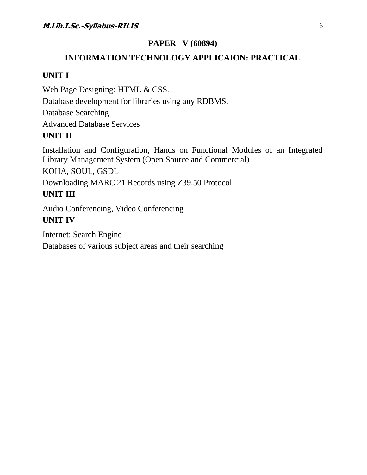### **PAPER –V (60894)**

## **INFORMATION TECHNOLOGY APPLICAION: PRACTICAL**

### **UNIT I**

Web Page Designing: HTML & CSS.

Database development for libraries using any RDBMS.

Database Searching

Advanced Database Services

### **UNIT II**

Installation and Configuration, Hands on Functional Modules of an Integrated Library Management System (Open Source and Commercial)

KOHA, SOUL, GSDL

Downloading MARC 21 Records using Z39.50 Protocol

### **UNIT III**

Audio Conferencing, Video Conferencing **UNIT IV**

Internet: Search Engine Databases of various subject areas and their searching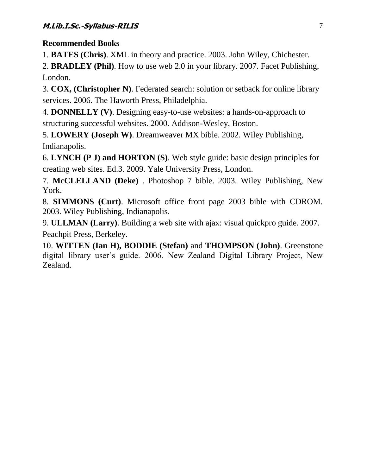1. **BATES (Chris)**. XML in theory and practice. 2003. John Wiley, Chichester.

2. **BRADLEY (Phil)**. How to use web 2.0 in your library. 2007. Facet Publishing, London.

3. **COX, (Christopher N)**. Federated search: solution or setback for online library services. 2006. The Haworth Press, Philadelphia.

4. **DONNELLY (V)**. Designing easy-to-use websites: a hands-on-approach to structuring successful websites. 2000. Addison-Wesley, Boston.

5. **LOWERY (Joseph W)**. Dreamweaver MX bible. 2002. Wiley Publishing, Indianapolis.

6. **LYNCH (P J) and HORTON (S)**. Web style guide: basic design principles for creating web sites. Ed.3. 2009. Yale University Press, London.

7. **McCLELLAND (Deke)** . Photoshop 7 bible. 2003. Wiley Publishing, New York.

8. **SIMMONS (Curt)**. Microsoft office front page 2003 bible with CDROM. 2003. Wiley Publishing, Indianapolis.

9. **ULLMAN (Larry)**. Building a web site with ajax: visual quickpro guide. 2007. Peachpit Press, Berkeley.

10. **WITTEN (Ian H), BODDIE (Stefan)** and **THOMPSON (John)**. Greenstone digital library user's guide. 2006. New Zealand Digital Library Project, New Zealand.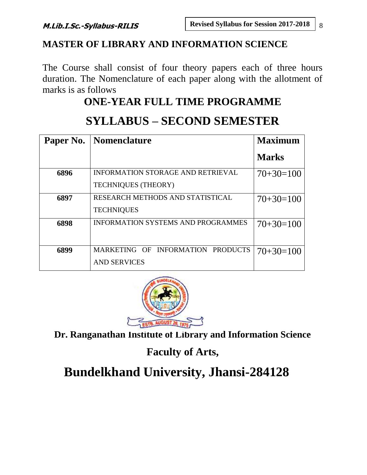## **MASTER OF LIBRARY AND INFORMATION SCIENCE**

The Course shall consist of four theory papers each of three hours duration. The Nomenclature of each paper along with the allotment of marks is as follows

## **ONE-YEAR FULL TIME PROGRAMME**

|      | <b>Paper No.</b>   Nomenclature           | <b>Maximum</b> |
|------|-------------------------------------------|----------------|
|      |                                           | <b>Marks</b>   |
| 6896 | <b>INFORMATION STORAGE AND RETRIEVAL</b>  | $70+30=100$    |
|      | <b>TECHNIQUES (THEORY)</b>                |                |
| 6897 | RESEARCH METHODS AND STATISTICAL          | $70+30=100$    |
|      | <b>TECHNIQUES</b>                         |                |
| 6898 | <b>INFORMATION SYSTEMS AND PROGRAMMES</b> | $70+30=100$    |
|      |                                           |                |
| 6899 | MARKETING OF INFORMATION PRODUCTS         | $70+30=100$    |
|      | <b>AND SERVICES</b>                       |                |

## **SYLLABUS – SECOND SEMESTER**



**Dr. Ranganathan Institute of Library and Information Science**

**Faculty of Arts,**

**Bundelkhand University, Jhansi-284128**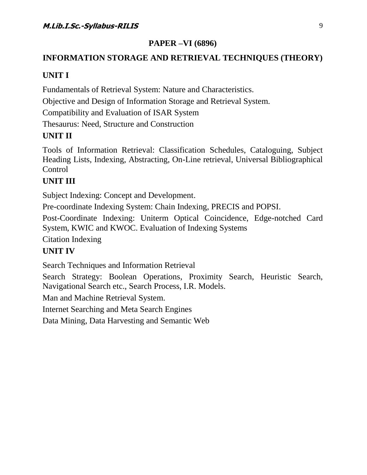### **PAPER –VI (6896)**

## **INFORMATION STORAGE AND RETRIEVAL TECHNIQUES (THEORY)**

### **UNIT I**

Fundamentals of Retrieval System: Nature and Characteristics.

Objective and Design of Information Storage and Retrieval System.

Compatibility and Evaluation of ISAR System

Thesaurus: Need, Structure and Construction

## **UNIT II**

Tools of Information Retrieval: Classification Schedules, Cataloguing, Subject Heading Lists, Indexing, Abstracting, On-Line retrieval, Universal Bibliographical Control

## **UNIT III**

Subject Indexing: Concept and Development.

Pre-coordinate Indexing System: Chain Indexing, PRECIS and POPSI.

Post-Coordinate Indexing: Uniterm Optical Coincidence, Edge-notched Card System, KWIC and KWOC. Evaluation of Indexing Systems

Citation Indexing

## **UNIT IV**

Search Techniques and Information Retrieval

Search Strategy: Boolean Operations, Proximity Search, Heuristic Search, Navigational Search etc., Search Process, I.R. Models.

Man and Machine Retrieval System.

Internet Searching and Meta Search Engines

Data Mining, Data Harvesting and Semantic Web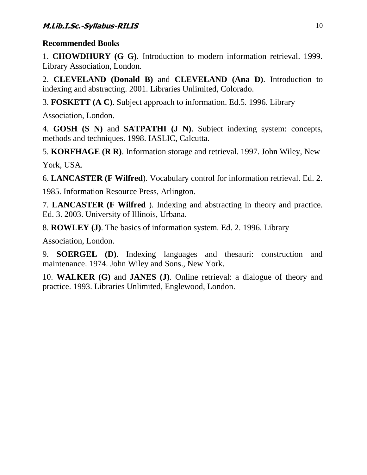1. **CHOWDHURY (G G)**. Introduction to modern information retrieval. 1999. Library Association, London.

2. **CLEVELAND (Donald B)** and **CLEVELAND (Ana D)**. Introduction to indexing and abstracting. 2001. Libraries Unlimited, Colorado.

3. **FOSKETT (A C)**. Subject approach to information. Ed.5. 1996. Library

Association, London.

4. **GOSH (S N)** and **SATPATHI (J N)**. Subject indexing system: concepts, methods and techniques. 1998. IASLIC, Calcutta.

5. **KORFHAGE (R R)**. Information storage and retrieval. 1997. John Wiley, New York, USA.

6. **LANCASTER (F Wilfred**). Vocabulary control for information retrieval. Ed. 2.

1985. Information Resource Press, Arlington.

7. **LANCASTER (F Wilfred** ). Indexing and abstracting in theory and practice. Ed. 3. 2003. University of Illinois, Urbana.

8. **ROWLEY (J)**. The basics of information system. Ed. 2. 1996. Library

Association, London.

9. **SOERGEL (D)**. Indexing languages and thesauri: construction and maintenance. 1974. John Wiley and Sons., New York.

10. **WALKER (G)** and **JANES (J)**. Online retrieval: a dialogue of theory and practice. 1993. Libraries Unlimited, Englewood, London.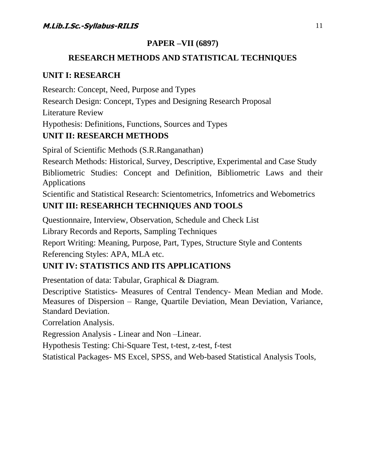### **PAPER –VII (6897)**

### **RESEARCH METHODS AND STATISTICAL TECHNIQUES**

### **UNIT I: RESEARCH**

Research: Concept, Need, Purpose and Types Research Design: Concept, Types and Designing Research Proposal Literature Review Hypothesis: Definitions, Functions, Sources and Types **UNIT II: RESEARCH METHODS**

Spiral of Scientific Methods (S.R.Ranganathan)

Research Methods: Historical, Survey, Descriptive, Experimental and Case Study

Bibliometric Studies: Concept and Definition, Bibliometric Laws and their Applications

Scientific and Statistical Research: Scientometrics, Infometrics and Webometrics **UNIT III: RESEARHCH TECHNIQUES AND TOOLS**

Questionnaire, Interview, Observation, Schedule and Check List

Library Records and Reports, Sampling Techniques

Report Writing: Meaning, Purpose, Part, Types, Structure Style and Contents Referencing Styles: APA, MLA etc.

### **UNIT IV: STATISTICS AND ITS APPLICATIONS**

Presentation of data: Tabular, Graphical & Diagram.

Descriptive Statistics- Measures of Central Tendency- Mean Median and Mode. Measures of Dispersion – Range, Quartile Deviation, Mean Deviation, Variance, Standard Deviation.

Correlation Analysis.

Regression Analysis - Linear and Non –Linear.

Hypothesis Testing: Chi-Square Test, t-test, z-test, f-test

Statistical Packages- MS Excel, SPSS, and Web-based Statistical Analysis Tools,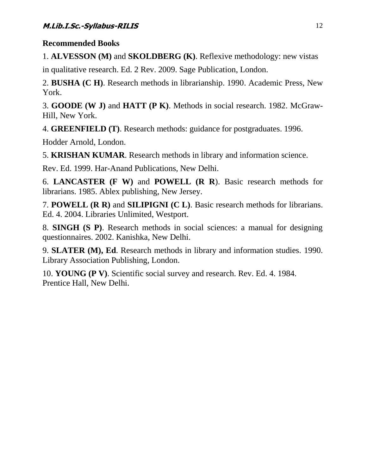1. **ALVESSON (M)** and **SKOLDBERG (K)**. Reflexive methodology: new vistas

in qualitative research. Ed. 2 Rev. 2009. Sage Publication, London.

2. **BUSHA (C H)**. Research methods in librarianship. 1990. Academic Press, New York.

3. **GOODE (W J)** and **HATT (P K)**. Methods in social research. 1982. McGraw-Hill, New York.

4. **GREENFIELD (T)**. Research methods: guidance for postgraduates. 1996.

Hodder Arnold, London.

5. **KRISHAN KUMAR**. Research methods in library and information science.

Rev. Ed. 1999. Har-Anand Publications, New Delhi.

6. **LANCASTER (F W)** and **POWELL (R R**). Basic research methods for librarians. 1985. Ablex publishing, New Jersey.

7. **POWELL (R R)** and **SILIPIGNI (C L)**. Basic research methods for librarians. Ed. 4. 2004. Libraries Unlimited, Westport.

8. **SINGH (S P)**. Research methods in social sciences: a manual for designing questionnaires. 2002. Kanishka, New Delhi.

9. **SLATER (M), Ed**. Research methods in library and information studies. 1990. Library Association Publishing, London.

10. **YOUNG (P V)**. Scientific social survey and research. Rev. Ed. 4. 1984. Prentice Hall, New Delhi.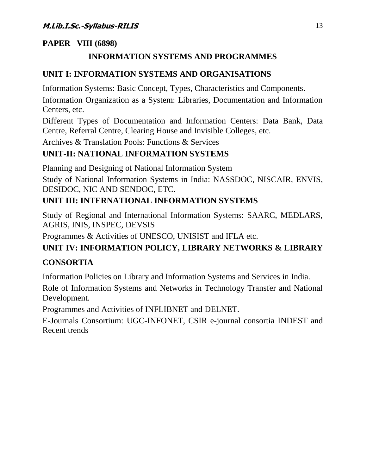### **PAPER –VIII (6898)**

## **INFORMATION SYSTEMS AND PROGRAMMES**

### **UNIT I: INFORMATION SYSTEMS AND ORGANISATIONS**

Information Systems: Basic Concept, Types, Characteristics and Components.

Information Organization as a System: Libraries, Documentation and Information Centers, etc.

Different Types of Documentation and Information Centers: Data Bank, Data Centre, Referral Centre, Clearing House and Invisible Colleges, etc.

Archives & Translation Pools: Functions & Services

## **UNIT-II: NATIONAL INFORMATION SYSTEMS**

Planning and Designing of National Information System

Study of National Information Systems in India: NASSDOC, NISCAIR, ENVIS, DESIDOC, NIC AND SENDOC, ETC.

## **UNIT III: INTERNATIONAL INFORMATION SYSTEMS**

Study of Regional and International Information Systems: SAARC, MEDLARS, AGRIS, INIS, INSPEC, DEVSIS

Programmes & Activities of UNESCO, UNISIST and IFLA etc.

## **UNIT IV: INFORMATION POLICY, LIBRARY NETWORKS & LIBRARY**

### **CONSORTIA**

Information Policies on Library and Information Systems and Services in India.

Role of Information Systems and Networks in Technology Transfer and National Development.

Programmes and Activities of INFLIBNET and DELNET.

E-Journals Consortium: UGC-INFONET, CSIR e-journal consortia INDEST and Recent trends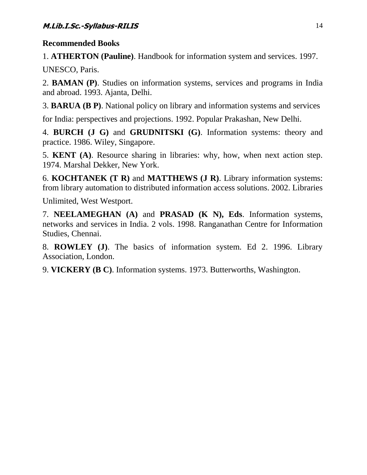1. **ATHERTON (Pauline)**. Handbook for information system and services. 1997.

UNESCO, Paris.

2. **BAMAN (P)**. Studies on information systems, services and programs in India and abroad. 1993. Ajanta, Delhi.

3. **BARUA (B P)**. National policy on library and information systems and services

for India: perspectives and projections. 1992. Popular Prakashan, New Delhi.

4. **BURCH (J G)** and **GRUDNITSKI (G)**. Information systems: theory and practice. 1986. Wiley, Singapore.

5. **KENT (A)**. Resource sharing in libraries: why, how, when next action step. 1974. Marshal Dekker, New York.

6. **KOCHTANEK (T R)** and **MATTHEWS (J R)**. Library information systems: from library automation to distributed information access solutions. 2002. Libraries

Unlimited, West Westport.

7. **NEELAMEGHAN (A)** and **PRASAD (K N), Eds**. Information systems, networks and services in India. 2 vols. 1998. Ranganathan Centre for Information Studies, Chennai.

8. **ROWLEY (J)**. The basics of information system. Ed 2. 1996. Library Association, London.

9. **VICKERY (B C)**. Information systems. 1973. Butterworths, Washington.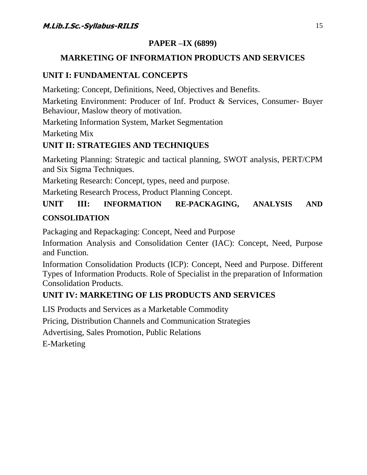## **PAPER –IX (6899)**

## **MARKETING OF INFORMATION PRODUCTS AND SERVICES**

## **UNIT I: FUNDAMENTAL CONCEPTS**

Marketing: Concept, Definitions, Need, Objectives and Benefits.

Marketing Environment: Producer of Inf. Product & Services, Consumer- Buyer Behaviour, Maslow theory of motivation.

Marketing Information System, Market Segmentation

Marketing Mix

## **UNIT II: STRATEGIES AND TECHNIQUES**

Marketing Planning: Strategic and tactical planning, SWOT analysis, PERT/CPM and Six Sigma Techniques.

Marketing Research: Concept, types, need and purpose.

Marketing Research Process, Product Planning Concept.

## **UNIT III: INFORMATION RE-PACKAGING, ANALYSIS AND CONSOLIDATION**

Packaging and Repackaging: Concept, Need and Purpose

Information Analysis and Consolidation Center (IAC): Concept, Need, Purpose and Function.

Information Consolidation Products (ICP): Concept, Need and Purpose. Different Types of Information Products. Role of Specialist in the preparation of Information Consolidation Products.

## **UNIT IV: MARKETING OF LIS PRODUCTS AND SERVICES**

LIS Products and Services as a Marketable Commodity

Pricing, Distribution Channels and Communication Strategies

Advertising, Sales Promotion, Public Relations

E-Marketing